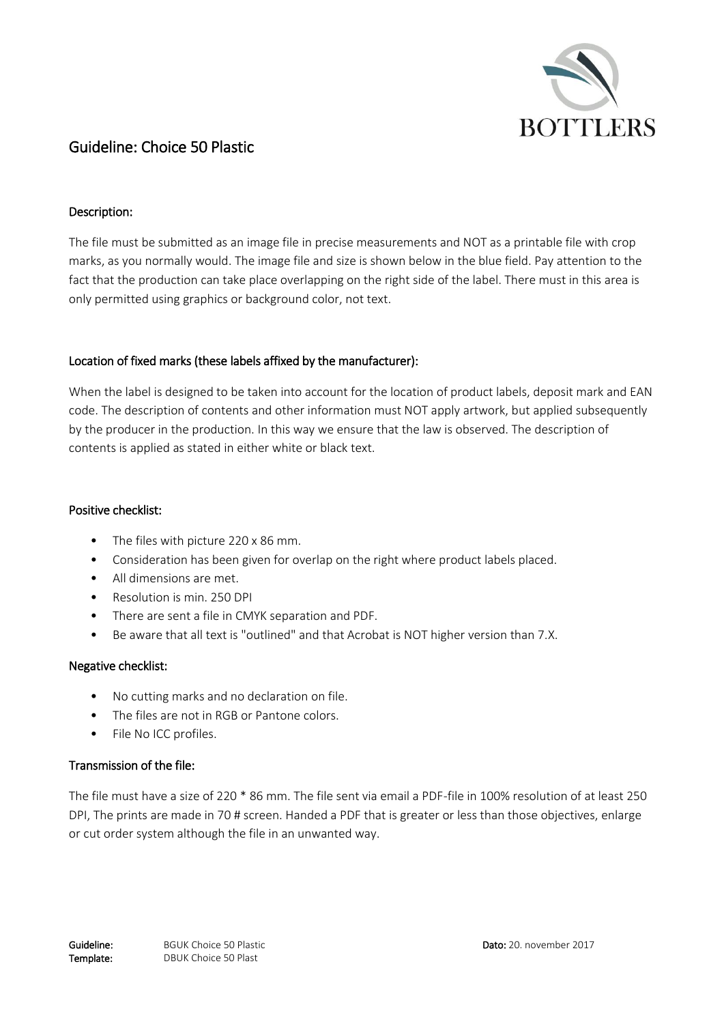

# Guideline: Choice 50 Plastic

## Description:

The file must be submitted as an image file in precise measurements and NOT as a printable file with crop marks, as you normally would. The image file and size is shown below in the blue field. Pay attention to the fact that the production can take place overlapping on the right side of the label. There must in this area is only permitted using graphics or background color, not text.

### Location of fixed marks (these labels affixed by the manufacturer):

When the label is designed to be taken into account for the location of product labels, deposit mark and EAN code. The description of contents and other information must NOT apply artwork, but applied subsequently by the producer in the production. In this way we ensure that the law is observed. The description of contents is applied as stated in either white or black text.

#### Positive checklist:

- The files with picture 220 x 86 mm.
- Consideration has been given for overlap on the right where product labels placed.
- All dimensions are met.
- Resolution is min. 250 DPI
- There are sent a file in CMYK separation and PDF.
- Be aware that all text is "outlined" and that Acrobat is NOT higher version than 7.X.

## Negative checklist:

- No cutting marks and no declaration on file.
- The files are not in RGB or Pantone colors.
- File No ICC profiles.

## Transmission of the file:

The file must have a size of 220 \* 86 mm. The file sent via email a PDF-file in 100% resolution of at least 250 DPI, The prints are made in 70 # screen. Handed a PDF that is greater or less than those objectives, enlarge or cut order system although the file in an unwanted way.